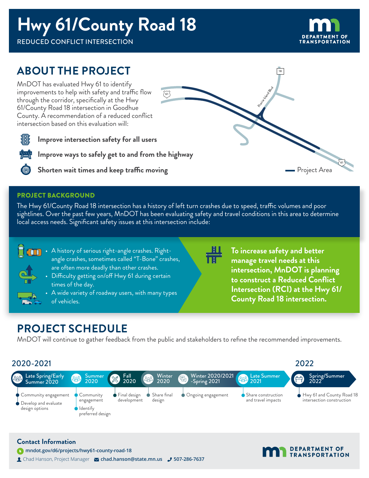## **Hwy 61/County Road 18**

REDUCED CONFLICT INTERSECTION



61

Project Area

### **ABOUT THE PROJECT**

MnDOT has evaluated Hwy 61 to identify improvements to help with safety and traffic flow through the corridor, specifically at the Hwy 61/County Road 18 intersection in Goodhue County. A recommendation of a reduced conflict intersection based on this evaluation will:



**Improve intersection safety for all users**

**Improve ways to safely get to and from the highway**



**Shorten wait times and keep traffic moving**

#### PROJECT BACKGROUND

The Hwy 61/County Road 18 intersection has a history of left turn crashes due to speed, traffic volumes and poor sightlines. Over the past few years, MnDOT has been evaluating safety and travel conditions in this area to determine local access needs. Significant safety issues at this intersection include:

 $\widetilde{61}$ 



- A history of serious right-angle crashes. Rightangle crashes, sometimes called "T-Bone" crashes, are often more deadly than other crashes.
	- Difficulty getting on/off Hwy 61 during certain times of the day.
	- A wide variety of roadway users, with many types of vehicles.



**To increase safety and better manage travel needs at this intersection, MnDOT is planning to construct a Reduced Conflict Intersection (RCI) at the Hwy 61/ County Road 18 intersection.**

18

Prairie Island Blvd

### **PROJECT SCHEDULE**

 **mndot.gov/d6/projects/hwy61-county-road-18**

**Contact Information**

MnDOT will continue to gather feedback from the public and stakeholders to refine the recommended improvements.





Chad Hanson, Project Manager **chad.hanson@state.mn.us 507-286-7637**